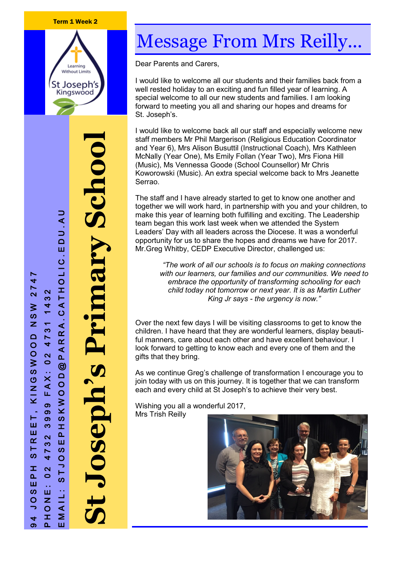#### Term 1 Week 2



**St Joseph's Primary School** mary School P H O N E : 02 4 7 3 2 3 9 99 F A X : 0 2 4 7 3 1 1 4 3 2<br>E M A I L : S T J O S E P H S K W O O D @ P A R R A . C A T H O L I C . E D U . A U OLIC.EDU.AU RRA.CATH  $P$  A F  $\circledcirc$ KWOOD **OSEDN**  $\boldsymbol{\omega}$  $\mathbf{I}$  $\mathbf{a}$ Ш  $\boldsymbol{\omega}$  $\overline{O}$ ⇒  $\vdash$ **S**  $41$ Σ

94 J O S E P H S T R E E T , K I N

 $\vdash$ 

Ш

Ш

 $\alpha$ 

 $\vdash$ 

**SC** 

工

 $\mathbf{a}$ 

Ш  $\boldsymbol{\omega}$ 

 $\circ$ 

4  $\sigma$ 

N G S W O O D N S W 2 7 4 7

KINGSWOOD

 $\frac{8}{3}$  $\overline{z}$ 

 $274$ 

432

 $473'$ 

 $\overline{\mathbf{N}}$  $\circ$ 

AX:

ட்  $\infty$  $\sigma$ 

 $\boldsymbol{\infty}$ 

က

 $\overline{\mathbf{N}}$ 

ო

 $\blacktriangleright$ 

 $\overline{\mathbf{r}}$ 

 $\overline{\mathbf{N}}$ 

 $\circ$ 

Ш

 $\mathbf{z}$  $\circ$ 

H

 $\overline{\mathbf{r}}$ 

Ш

# Message From Mrs Reilly...

Dear Parents and Carers,

I would like to welcome all our students and their families back from a well rested holiday to an exciting and fun filled year of learning. A special welcome to all our new students and families. I am looking forward to meeting you all and sharing our hopes and dreams for St. Joseph's.

I would like to welcome back all our staff and especially welcome new staff members Mr Phil Margerison (Religious Education Coordinator and Year 6), Mrs Alison Busuttil (Instructional Coach), Mrs Kathleen McNally (Year One), Ms Emily Follan (Year Two), Mrs Fiona Hill (Music), Ms Vennessa Goode (School Counsellor) Mr Chris Koworowski (Music). An extra special welcome back to Mrs Jeanette Serrao.

The staff and I have already started to get to know one another and together we will work hard, in partnership with you and your children, to make this year of learning both fulfilling and exciting. The Leadership team began this work last week when we attended the System Leaders' Day with all leaders across the Diocese. It was a wonderful opportunity for us to share the hopes and dreams we have for 2017. Mr.Greg Whitby, CEDP Executive Director, challenged us:

*"The work of all our schools is to focus on making connections with our learners, our families and our communities. We need to embrace the opportunity of transforming schooling for each child today not tomorrow or next year. It is as Martin Luther King Jr says - the urgency is now."*

Over the next few days I will be visiting classrooms to get to know the children. I have heard that they are wonderful learners, display beautiful manners, care about each other and have excellent behaviour. I look forward to getting to know each and every one of them and the gifts that they bring.

As we continue Greg's challenge of transformation I encourage you to join today with us on this journey. It is together that we can transform each and every child at St Joseph's to achieve their very best.

Wishing you all a wonderful 2017, Mrs Trish Reilly

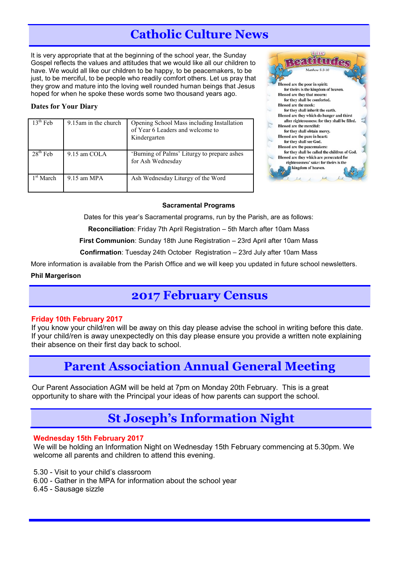# **Catholic Culture News**

It is very appropriate that at the beginning of the school year, the Sunday Gospel reflects the values and attitudes that we would like all our children to have. We would all like our children to be happy, to be peacemakers, to be just, to be merciful, to be people who readily comfort others. Let us pray that they grow and mature into the loving well rounded human beings that Jesus hoped for when he spoke these words some two thousand years ago.

#### **Dates for Your Diary**

| $13th$ Feb.           | 9.15am in the church | Opening School Mass including Installation<br>of Year 6 Leaders and welcome to<br>Kindergarten |
|-----------------------|----------------------|------------------------------------------------------------------------------------------------|
| $28th$ Feb            | 9.15 am COLA         | 'Burning of Palms' Liturgy to prepare ashes<br>for Ash Wednesday                               |
| 1 <sup>st</sup> March | $9.15$ am MPA        | Ash Wednesday Liturgy of the Word                                                              |



#### **Sacramental Programs**

Dates for this year's Sacramental programs, run by the Parish, are as follows:

**Reconciliation**: Friday 7th April Registration – 5th March after 10am Mass

**First Communion**: Sunday 18th June Registration – 23rd April after 10am Mass

**Confirmation**: Tuesday 24th October Registration – 23rd July after 10am Mass

More information is available from the Parish Office and we will keep you updated in future school newsletters.

#### **Phil Margerison**

# **2017 February Census**

#### **Friday 10th February 2017**

If you know your child/ren will be away on this day please advise the school in writing before this date. If your child/ren is away unexpectedly on this day please ensure you provide a written note explaining their absence on their first day back to school.

### **Parent Association Annual General Meeting**

Our Parent Association AGM will be held at 7pm on Monday 20th February. This is a great opportunity to share with the Principal your ideas of how parents can support the school.

# **St Joseph's Information Night**

#### **Wednesday 15th February 2017**

We will be holding an Information Night on Wednesday 15th February commencing at 5.30pm. We welcome all parents and children to attend this evening.

- 5.30 Visit to your child's classroom
- 6.00 Gather in the MPA for information about the school year
- 6.45 Sausage sizzle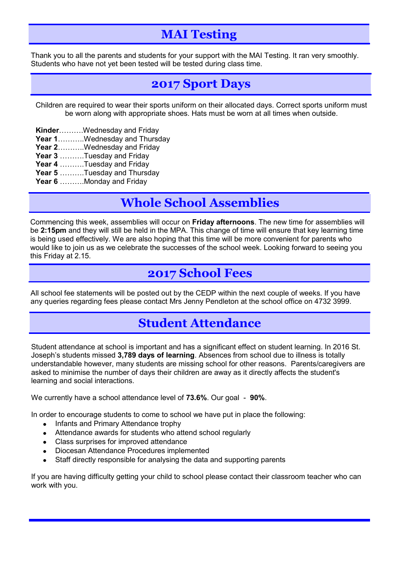# **MAI Testing**

Thank you to all the parents and students for your support with the MAI Testing. It ran very smoothly. Students who have not yet been tested will be tested during class time.

### **2017 Sport Days**

Children are required to wear their sports uniform on their allocated days. Correct sports uniform must be worn along with appropriate shoes. Hats must be worn at all times when outside.

- **Kinder**……….Wednesday and Friday
- **Year 1**………..Wednesday and Thursday
- **Year 2**………..Wednesday and Friday
- **Year 3** ……….Tuesday and Friday
- **Year 4** ……….Tuesday and Friday
- **Year 5** ……….Tuesday and Thursday
- **Year 6** ……….Monday and Friday

# **Whole School Assemblies**

Commencing this week, assemblies will occur on **Friday afternoons**. The new time for assemblies will be **2:15pm** and they will still be held in the MPA. This change of time will ensure that key learning time is being used effectively. We are also hoping that this time will be more convenient for parents who would like to join us as we celebrate the successes of the school week. Looking forward to seeing you this Friday at 2.15.

### **2017 School Fees**

All school fee statements will be posted out by the CEDP within the next couple of weeks. If you have any queries regarding fees please contact Mrs Jenny Pendleton at the school office on 4732 3999.

# **Student Attendance**

Student attendance at school is important and has a significant effect on student learning. In 2016 St. Joseph's students missed **3,789 days of learning**. Absences from school due to illness is totally understandable however, many students are missing school for other reasons. Parents/caregivers are asked to minimise the number of days their children are away as it directly affects the student's learning and social interactions.

We currently have a school attendance level of **73.6%**. Our goal - **90%**.

In order to encourage students to come to school we have put in place the following:

- Infants and Primary Attendance trophy  $\bullet$
- Attendance awards for students who attend school regularly
- Class surprises for improved attendance
- Diocesan Attendance Procedures implemented
- Staff directly responsible for analysing the data and supporting parents

If you are having difficulty getting your child to school please contact their classroom teacher who can work with you.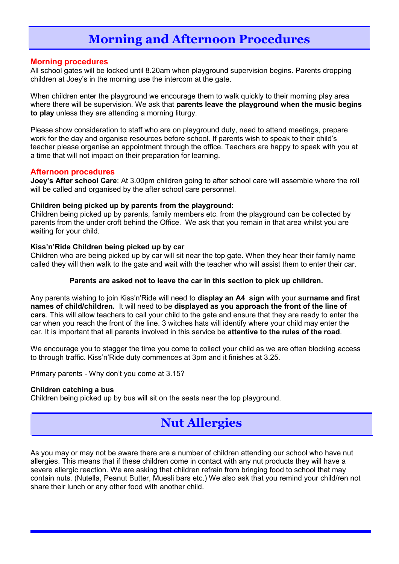# **Morning and Afternoon Procedures**

#### **Morning procedures**

All school gates will be locked until 8.20am when playground supervision begins. Parents dropping children at Joey's in the morning use the intercom at the gate.

When children enter the playground we encourage them to walk quickly to their morning play area where there will be supervision. We ask that **parents leave the playground when the music begins to play** unless they are attending a morning liturgy.

Please show consideration to staff who are on playground duty, need to attend meetings, prepare work for the day and organise resources before school. If parents wish to speak to their child's teacher please organise an appointment through the office. Teachers are happy to speak with you at a time that will not impact on their preparation for learning.

#### **Afternoon procedures**

**Joey's After school Care**: At 3.00pm children going to after school care will assemble where the roll will be called and organised by the after school care personnel.

#### **Children being picked up by parents from the playground**:

Children being picked up by parents, family members etc. from the playground can be collected by parents from the under croft behind the Office. We ask that you remain in that area whilst you are waiting for your child.

#### **Kiss'n'Ride Children being picked up by car**

Children who are being picked up by car will sit near the top gate. When they hear their family name called they will then walk to the gate and wait with the teacher who will assist them to enter their car.

#### **Parents are asked not to leave the car in this section to pick up children.**

Any parents wishing to join Kiss'n'Ride will need to **display an A4 sign** with your **surname and first names of child/children.** It will need to be **displayed as you approach the front of the line of cars**. This will allow teachers to call your child to the gate and ensure that they are ready to enter the car when you reach the front of the line. 3 witches hats will identify where your child may enter the car. It is important that all parents involved in this service be **attentive to the rules of the road**.

We encourage you to stagger the time you come to collect your child as we are often blocking access to through traffic. Kiss'n'Ride duty commences at 3pm and it finishes at 3.25.

Primary parents - Why don't you come at 3.15?

#### **Children catching a bus**

Children being picked up by bus will sit on the seats near the top playground.

# **Nut Allergies**

As you may or may not be aware there are a number of children attending our school who have nut allergies. This means that if these children come in contact with any nut products they will have a severe allergic reaction. We are asking that children refrain from bringing food to school that may contain nuts. (Nutella, Peanut Butter, Muesli bars etc.) We also ask that you remind your child/ren not share their lunch or any other food with another child.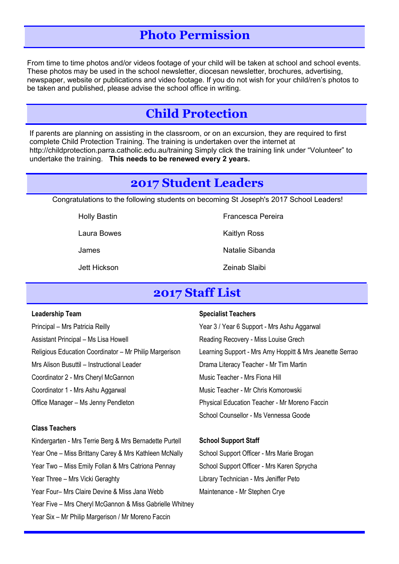### **Photo Permission**

From time to time photos and/or videos footage of your child will be taken at school and school events. These photos may be used in the school newsletter, diocesan newsletter, brochures, advertising, newspaper, website or publications and video footage. If you do not wish for your child/ren's photos to be taken and published, please advise the school office in writing.

### **Child Protection**

If parents are planning on assisting in the classroom, or on an excursion, they are required to first complete Child Protection Training. The training is undertaken over the internet at http://childprotection.parra.catholic.edu.au/training Simply click the training link under "Volunteer" to undertake the training. **This needs to be renewed every 2 years.**

### **2017 Student Leaders**

Congratulations to the following students on becoming St Joseph's 2017 School Leaders!

Laura Bowes **Kaitlyn** Ross

Holly Bastin **Francesca Pereira** 

James Natalie Sibanda

Jett Hickson Zeinab Slaibi

### **2017 Staff List**

#### **Leadership Team**

Principal – Mrs Patricia Reilly Assistant Principal – Ms Lisa Howell Religious Education Coordinator – Mr Philip Margerison Mrs Alison Busuttil – Instructional Leader Coordinator 2 - Mrs Cheryl McGannon Coordinator 1 - Mrs Ashu Aggarwal Office Manager – Ms Jenny Pendleton

#### **Class Teachers**

Kindergarten - Mrs Terrie Berg & Mrs Bernadette Purtell Year One – Miss Brittany Carey & Mrs Kathleen McNally Year Two – Miss Emily Follan & Mrs Catriona Pennay Year Three – Mrs Vicki Geraghty Year Four– Mrs Claire Devine & Miss Jana Webb Year Five – Mrs Cheryl McGannon & Miss Gabrielle Whitney Year Six – Mr Philip Margerison / Mr Moreno Faccin

#### **Specialist Teachers**

Year 3 / Year 6 Support - Mrs Ashu Aggarwal Reading Recovery - Miss Louise Grech Learning Support - Mrs Amy Hoppitt & Mrs Jeanette Serrao Drama Literacy Teacher - Mr Tim Martin Music Teacher - Mrs Fiona Hill Music Teacher - Mr Chris Komorowski Physical Education Teacher - Mr Moreno Faccin School Counsellor - Ms Vennessa Goode

#### **School Support Staff**

School Support Officer - Mrs Marie Brogan School Support Officer - Mrs Karen Sprycha Library Technician - Mrs Jeniffer Peto Maintenance - Mr Stephen Crye